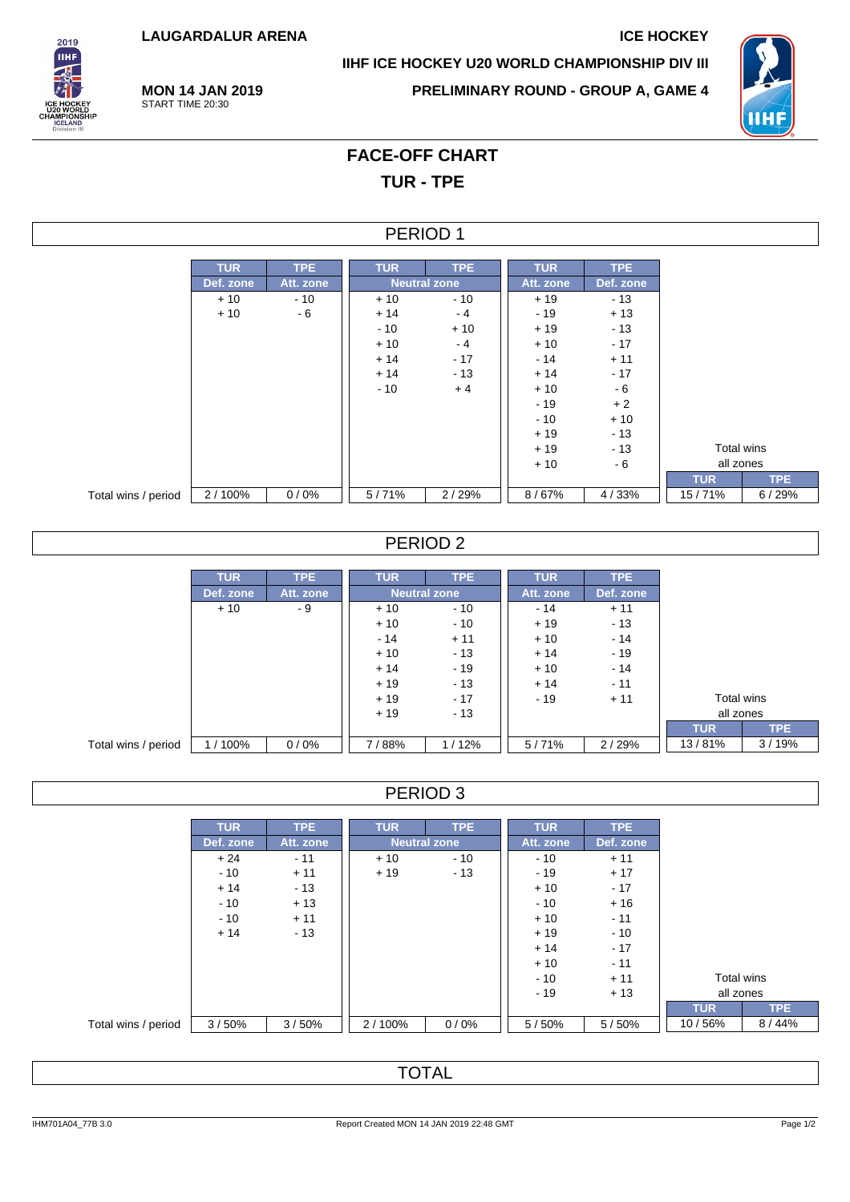**LAUGARDALUR ARENA ICE HOCKEY**



**IIHF ICE HOCKEY U20 WORLD CHAMPIONSHIP DIV III**

**PRELIMINARY ROUND - GROUP A, GAME 4**



**MON 14 JAN 2019** START TIME 20:30

# **FACE-OFF CHART TUR - TPE**

### PERIOD 1

|                     | <b>TUR</b> | <b>TPE</b> | <b>TUR</b>          | TPE   | <b>TUR</b> | <b>TPE</b> |            |            |
|---------------------|------------|------------|---------------------|-------|------------|------------|------------|------------|
|                     | Def. zone  | Att. zone  | <b>Neutral zone</b> |       | Att. zone  | Def. zone  |            |            |
|                     | $+10$      | $-10$      | $+10$               | $-10$ | $+19$      | $-13$      |            |            |
|                     | $+10$      | - 6        | $+14$               | $-4$  | $-19$      | $+13$      |            |            |
|                     |            |            | $-10$               | $+10$ | $+19$      | $-13$      |            |            |
|                     |            |            | $+10$               | $-4$  | $+10$      | $-17$      |            |            |
|                     |            |            | $+14$               | $-17$ | $-14$      | $+11$      |            |            |
|                     |            |            | $+14$               | $-13$ | $+14$      | $-17$      |            |            |
|                     |            |            | $-10$               | $+4$  | $+10$      | - 6        |            |            |
|                     |            |            |                     |       | $-19$      | $+2$       |            |            |
|                     |            |            |                     |       | $-10$      | $+10$      |            |            |
|                     |            |            |                     |       | $+19$      | $-13$      |            |            |
|                     |            |            |                     |       | $+19$      | $-13$      | Total wins |            |
|                     |            |            |                     |       | $+10$      | - 6        | all zones  |            |
|                     |            |            |                     |       |            |            | <b>TUR</b> | <b>TPE</b> |
| Total wins / period | 2/100%     | 0/0%       | 5/71%               | 2/29% | 8/67%      | 4/33%      | 15/71%     | 6/29%      |

## PERIOD 2

|                     | <b>TUR</b> | <b>TPE</b> | <b>TUR</b> | <b>TPE</b>          | <b>TUR</b> | <b>TPE</b> |            |       |
|---------------------|------------|------------|------------|---------------------|------------|------------|------------|-------|
|                     | Def. zone  | Att. zone  |            | <b>Neutral zone</b> | Att. zone  | Def. zone  |            |       |
|                     | $+10$      | - 9        | $+10$      | $-10$               | $-14$      | $+11$      |            |       |
|                     |            |            | $+10$      | $-10$               | $+19$      | $-13$      |            |       |
|                     |            |            | $-14$      | $+11$               | $+10$      | $-14$      |            |       |
|                     |            |            | $+10$      | $-13$               | $+14$      | $-19$      |            |       |
|                     |            |            | $+14$      | $-19$               | $+10$      | $-14$      |            |       |
|                     |            |            | $+19$      | $-13$               | $+14$      | $-11$      |            |       |
|                     |            |            | $+19$      | $-17$               | $-19$      | $+11$      | Total wins |       |
|                     |            |            | $+19$      | $-13$               |            |            | all zones  |       |
|                     |            |            |            |                     |            |            | <b>TUR</b> | TPE.  |
| Total wins / period | 1/100%     | 0/0%       | 7/88%      | 1/12%               | 5/71%      | 2/29%      | 13/81%     | 3/19% |

## PERIOD 3

|                     | <b>TUR</b> | <b>TPE</b> | <b>TUR</b>          | <b>TPE</b> | <b>TUR</b> | <b>TPE</b> |            |
|---------------------|------------|------------|---------------------|------------|------------|------------|------------|
|                     | Def. zone  | Att. zone  | <b>Neutral zone</b> |            | Att. zone  | Def. zone  |            |
|                     | $+24$      | $-11$      | $+10$               | $-10$      | $-10$      | $+11$      |            |
|                     | $-10$      | $+11$      | $+19$               | $-13$      | $-19$      | $+17$      |            |
|                     | $+14$      | $-13$      |                     |            | $+10$      | $-17$      |            |
|                     | $-10$      | $+13$      |                     |            | $-10$      | $+16$      |            |
|                     | $-10$      | $+11$      |                     |            | $+10$      | $-11$      |            |
|                     | $+14$      | $-13$      |                     |            | $+19$      | $-10$      |            |
|                     |            |            |                     |            | $+14$      | $-17$      |            |
|                     |            |            |                     |            | $+10$      | $-11$      |            |
|                     |            |            |                     |            | $-10$      | $+11$      | Total wins |
|                     |            |            |                     |            | $-19$      | $+13$      | all zones  |
|                     |            |            |                     |            |            |            | <b>TUR</b> |
| Total wins / period | 3/50%      | 3/50%      | 2/100%              | 0/0%       | 5/50%      | 5/50%      | 10/56%     |